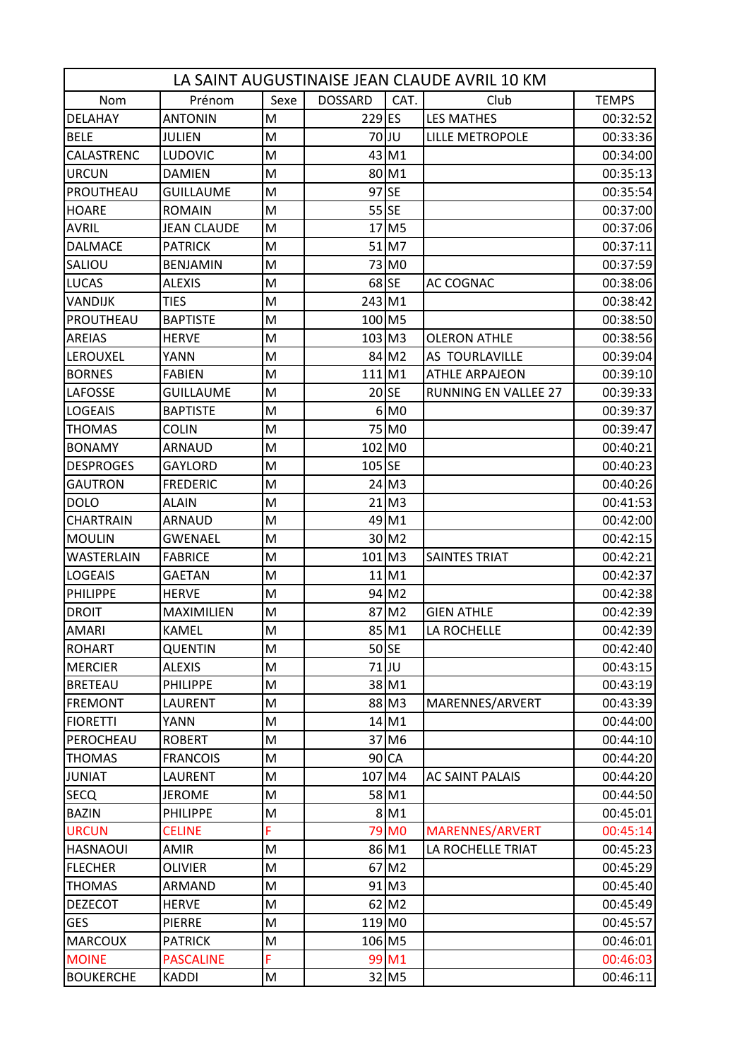| LA SAINT AUGUSTINAISE JEAN CLAUDE AVRIL 10 KM |                    |                                                                                                            |                      |                     |                             |              |  |
|-----------------------------------------------|--------------------|------------------------------------------------------------------------------------------------------------|----------------------|---------------------|-----------------------------|--------------|--|
| Nom                                           | Prénom             | Sexe                                                                                                       | <b>DOSSARD</b>       | CAT.                | Club                        | <b>TEMPS</b> |  |
| <b>DELAHAY</b>                                | <b>ANTONIN</b>     | M                                                                                                          | 229 ES               |                     | <b>LES MATHES</b>           | 00:32:52     |  |
| <b>BELE</b>                                   | <b>JULIEN</b>      | M                                                                                                          |                      | 70JJU               | <b>LILLE METROPOLE</b>      | 00:33:36     |  |
| CALASTRENC                                    | <b>LUDOVIC</b>     | $\mathsf{M}% _{T}=\mathsf{M}_{T}\!\left( a,b\right) ,\ \mathsf{M}_{T}=\mathsf{M}_{T}\!\left( a,b\right) ,$ |                      | $43$ M <sub>1</sub> |                             | 00:34:00     |  |
| <b>URCUN</b>                                  | <b>DAMIEN</b>      | M                                                                                                          |                      | 80M1                |                             | 00:35:13     |  |
| PROUTHEAU                                     | GUILLAUME          | M                                                                                                          | 97 SE                |                     |                             | 00:35:54     |  |
| <b>HOARE</b>                                  | <b>ROMAIN</b>      | M                                                                                                          |                      | $55$ SE             |                             | 00:37:00     |  |
| <b>AVRIL</b>                                  | <b>JEAN CLAUDE</b> | M                                                                                                          |                      | 17 M <sub>5</sub>   |                             | 00:37:06     |  |
| <b>DALMACE</b>                                | <b>PATRICK</b>     | M                                                                                                          |                      | 51 M7               |                             | 00:37:11     |  |
| SALIOU                                        | <b>BENJAMIN</b>    | M                                                                                                          |                      | 73 MO               |                             | 00:37:59     |  |
| <b>LUCAS</b>                                  | <b>ALEXIS</b>      | M                                                                                                          |                      | $68$ SE             | AC COGNAC                   | 00:38:06     |  |
| <b>VANDIJK</b>                                | <b>TIES</b>        | M                                                                                                          | 243 M1               |                     |                             | 00:38:42     |  |
| PROUTHEAU                                     | <b>BAPTISTE</b>    | M                                                                                                          | 100 M5               |                     |                             | 00:38:50     |  |
| <b>AREIAS</b>                                 | <b>HERVE</b>       | M                                                                                                          | $103$ M <sub>3</sub> |                     | <b>OLERON ATHLE</b>         | 00:38:56     |  |
| <b>LEROUXEL</b>                               | <b>YANN</b>        | M                                                                                                          |                      | 84 M2               | AS TOURLAVILLE              | 00:39:04     |  |
| <b>BORNES</b>                                 | <b>FABIEN</b>      | M                                                                                                          | 111 M1               |                     | <b>ATHLE ARPAJEON</b>       | 00:39:10     |  |
| <b>LAFOSSE</b>                                | <b>GUILLAUME</b>   | M                                                                                                          |                      | $20$ SE             | <b>RUNNING EN VALLEE 27</b> | 00:39:33     |  |
| <b>LOGEAIS</b>                                | <b>BAPTISTE</b>    | M                                                                                                          |                      | $6$ MO              |                             | 00:39:37     |  |
| <b>THOMAS</b>                                 | <b>COLIN</b>       | M                                                                                                          |                      | 75 MO               |                             | 00:39:47     |  |
| <b>BONAMY</b>                                 | <b>ARNAUD</b>      | M                                                                                                          | 102 MO               |                     |                             | 00:40:21     |  |
| <b>DESPROGES</b>                              | <b>GAYLORD</b>     | M                                                                                                          | $105$ SE             |                     |                             | 00:40:23     |  |
| <b>GAUTRON</b>                                | <b>FREDERIC</b>    | M                                                                                                          |                      | $24$ M <sub>3</sub> |                             | 00:40:26     |  |
| <b>DOLO</b>                                   | ALAIN              | M                                                                                                          |                      | $21$ M <sub>3</sub> |                             | 00:41:53     |  |
| <b>CHARTRAIN</b>                              | <b>ARNAUD</b>      | M                                                                                                          |                      | 49 M1               |                             | 00:42:00     |  |
| <b>MOULIN</b>                                 | <b>GWENAEL</b>     | M                                                                                                          |                      | 30 M2               |                             | 00:42:15     |  |
| <b>WASTERLAIN</b>                             | <b>FABRICE</b>     | M                                                                                                          | $101$ M <sub>3</sub> |                     | <b>SAINTES TRIAT</b>        | 00:42:21     |  |
| LOGEAIS                                       | GAETAN             | M                                                                                                          |                      | $11$ M1             |                             | 00:42:37     |  |
| <b>PHILIPPE</b>                               | <b>HERVE</b>       | M                                                                                                          |                      | 94 M2               |                             | 00:42:38     |  |
| <b>DROIT</b>                                  | <b>MAXIMILIEN</b>  | M                                                                                                          |                      | 87 M2               | <b>GIEN ATHLE</b>           | 00:42:39     |  |
| <b>AMARI</b>                                  | KAMEL              | M                                                                                                          |                      | 85 M1               | LA ROCHELLE                 | 00:42:39     |  |
| <b>ROHART</b>                                 | QUENTIN            | M                                                                                                          |                      | $50$ SE             |                             | 00:42:40     |  |
| <b>MERCIER</b>                                | <b>ALEXIS</b>      | M                                                                                                          |                      | 71JU                |                             | 00:43:15     |  |
| <b>BRETEAU</b>                                | <b>PHILIPPE</b>    | M                                                                                                          |                      | 38 M1               |                             | 00:43:19     |  |
| <b>FREMONT</b>                                | <b>LAURENT</b>     | M                                                                                                          |                      | 88 M3               | MARENNES/ARVERT             | 00:43:39     |  |
| <b>FIORETTI</b>                               | <b>YANN</b>        | M                                                                                                          |                      | 14 M1               |                             | 00:44:00     |  |
| PEROCHEAU                                     | <b>ROBERT</b>      | M                                                                                                          |                      | 37 M <sub>6</sub>   |                             | 00:44:10     |  |
| <b>THOMAS</b>                                 | <b>FRANCOIS</b>    | M                                                                                                          |                      | 90 CA               |                             | 00:44:20     |  |
| <b>JUNIAT</b>                                 | LAURENT            | M                                                                                                          | 107 M4               |                     | <b>AC SAINT PALAIS</b>      | 00:44:20     |  |
| <b>SECQ</b>                                   | <b>JEROME</b>      | M                                                                                                          |                      | 58 M1               |                             | 00:44:50     |  |
| <b>BAZIN</b>                                  | <b>PHILIPPE</b>    | M                                                                                                          |                      | $8$ M1              |                             | 00:45:01     |  |
| <b>URCUN</b>                                  | <b>CELINE</b>      | Ë.                                                                                                         |                      | 79 M <sub>0</sub>   | <b>MARENNES/ARVERT</b>      | 00:45:14     |  |
| <b>HASNAOUI</b>                               | AMIR               | M                                                                                                          |                      | 86 M1               | LA ROCHELLE TRIAT           | 00:45:23     |  |
| <b>FLECHER</b>                                | <b>OLIVIER</b>     | M                                                                                                          |                      | $67$ M <sub>2</sub> |                             | 00:45:29     |  |
| <b>THOMAS</b>                                 | ARMAND             | M                                                                                                          |                      | $91$ M3             |                             | 00:45:40     |  |
| <b>DEZECOT</b>                                | <b>HERVE</b>       | M                                                                                                          |                      | $62$ M <sub>2</sub> |                             | 00:45:49     |  |
| <b>GES</b>                                    | PIERRE             | M                                                                                                          | 119 MO               |                     |                             | 00:45:57     |  |
| <b>MARCOUX</b>                                | <b>PATRICK</b>     | M                                                                                                          | 106 M5               |                     |                             | 00:46:01     |  |
| <b>MOINE</b>                                  | <b>PASCALINE</b>   | F                                                                                                          |                      | 99 M1               |                             | 00:46:03     |  |
| <b>BOUKERCHE</b>                              | KADDI              | M                                                                                                          |                      | 32 M5               |                             | 00:46:11     |  |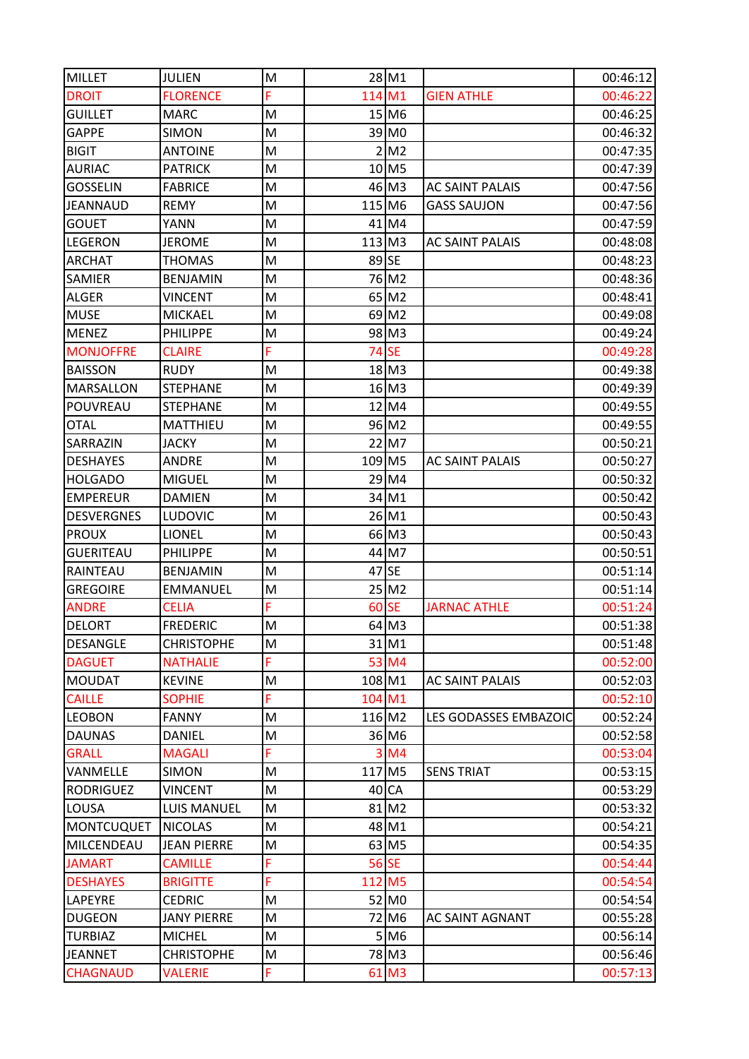| <b>MILLET</b>     | <b>JULIEN</b>      | M  |        | 28 M1               |                        | 00:46:12 |
|-------------------|--------------------|----|--------|---------------------|------------------------|----------|
| <b>DROIT</b>      | <b>FLORENCE</b>    | F. | 114 M1 |                     | <b>GIEN ATHLE</b>      | 00:46:22 |
| <b>GUILLET</b>    | <b>MARC</b>        | M  |        | 15 M <sub>6</sub>   |                        | 00:46:25 |
| <b>GAPPE</b>      | <b>SIMON</b>       | M  |        | 39 MO               |                        | 00:46:32 |
| <b>BIGIT</b>      | <b>ANTOINE</b>     | M  |        | 2 M2                |                        | 00:47:35 |
| <b>AURIAC</b>     | <b>PATRICK</b>     | M  |        | $10$ M <sub>5</sub> |                        | 00:47:39 |
| <b>GOSSELIN</b>   | <b>FABRICE</b>     | M  |        | 46 M3               | <b>AC SAINT PALAIS</b> | 00:47:56 |
| <b>JEANNAUD</b>   | <b>REMY</b>        | M  | 115 M6 |                     | <b>GASS SAUJON</b>     | 00:47:56 |
| <b>GOUET</b>      | <b>YANN</b>        | M  |        | $41$ M4             |                        | 00:47:59 |
| <b>LEGERON</b>    | <b>JEROME</b>      | M  | 113 M3 |                     | <b>AC SAINT PALAIS</b> | 00:48:08 |
| <b>ARCHAT</b>     | <b>THOMAS</b>      | M  | 89 SE  |                     |                        | 00:48:23 |
| <b>SAMIER</b>     | <b>BENJAMIN</b>    | M  |        | 76 M2               |                        | 00:48:36 |
| <b>ALGER</b>      | <b>VINCENT</b>     | M  |        | $65$ M <sub>2</sub> |                        | 00:48:41 |
| <b>MUSE</b>       | <b>MICKAEL</b>     | M  |        | $69$ M2             |                        | 00:49:08 |
| <b>MENEZ</b>      | <b>PHILIPPE</b>    | M  |        | 98 M3               |                        | 00:49:24 |
| <b>MONJOFFRE</b>  | <b>CLAIRE</b>      | F. |        | <b>74 SE</b>        |                        | 00:49:28 |
| <b>BAISSON</b>    | <b>RUDY</b>        | M  |        | $18$ M <sub>3</sub> |                        | 00:49:38 |
| <b>MARSALLON</b>  | <b>STEPHANE</b>    | M  |        | $16$ M3             |                        | 00:49:39 |
| POUVREAU          | <b>STEPHANE</b>    | M  |        | 12 M4               |                        | 00:49:55 |
| <b>OTAL</b>       | <b>MATTHIEU</b>    | M  |        | 96 M2               |                        | 00:49:55 |
| SARRAZIN          | <b>JACKY</b>       | M  |        | 22 M7               |                        | 00:50:21 |
| <b>DESHAYES</b>   | <b>ANDRE</b>       | M  | 109 M5 |                     | <b>AC SAINT PALAIS</b> | 00:50:27 |
| <b>HOLGADO</b>    | <b>MIGUEL</b>      | M  |        | 29 M4               |                        | 00:50:32 |
| <b>EMPEREUR</b>   | <b>DAMIEN</b>      | M  |        | 34 M1               |                        | 00:50:42 |
| <b>DESVERGNES</b> | <b>LUDOVIC</b>     | M  |        | 26 M1               |                        | 00:50:43 |
| <b>PROUX</b>      | <b>LIONEL</b>      | M  |        | 66 M3               |                        | 00:50:43 |
| <b>GUERITEAU</b>  | <b>PHILIPPE</b>    | M  |        | 44 M7               |                        | 00:50:51 |
| <b>RAINTEAU</b>   | <b>BENJAMIN</b>    | M  |        | 47 SE               |                        | 00:51:14 |
| <b>GREGOIRE</b>   | <b>EMMANUEL</b>    | M  |        | $25$ M <sub>2</sub> |                        | 00:51:14 |
| <b>ANDRE</b>      | <b>CELIA</b>       | F. |        | 60 SE               | <b>JARNAC ATHLE</b>    | 00:51:24 |
| <b>DELORT</b>     | <b>FREDERIC</b>    | M  |        | 64 M3               |                        | 00:51:38 |
| <b>DESANGLE</b>   | <b>CHRISTOPHE</b>  | M  |        | 31M1                |                        | 00:51:48 |
| <b>DAGUET</b>     | <b>NATHALIE</b>    | F. |        | 53 M4               |                        | 00:52:00 |
| <b>MOUDAT</b>     | <b>KEVINE</b>      | M  | 108 M1 |                     | <b>AC SAINT PALAIS</b> | 00:52:03 |
| <b>CAILLE</b>     | <b>SOPHIE</b>      | F  | 104 M1 |                     |                        | 00:52:10 |
| <b>LEOBON</b>     | <b>FANNY</b>       | M  | 116 M2 |                     | LES GODASSES EMBAZOIC  | 00:52:24 |
| <b>DAUNAS</b>     | <b>DANIEL</b>      | M  |        | 36 M <sub>6</sub>   |                        | 00:52:58 |
| <b>GRALL</b>      | <b>MAGALI</b>      | F. |        | $3$ M4              |                        | 00:53:04 |
| VANMELLE          | <b>SIMON</b>       | M  | 117 M5 |                     | <b>SENS TRIAT</b>      | 00:53:15 |
| <b>RODRIGUEZ</b>  | <b>VINCENT</b>     | M  |        | $40$ CA             |                        | 00:53:29 |
|                   | <b>LUIS MANUEL</b> | M  |        | 81 M2               |                        |          |
| LOUSA             | <b>NICOLAS</b>     | M  |        |                     |                        | 00:53:32 |
| <b>MONTCUQUET</b> |                    |    |        | 48 M1               |                        | 00:54:21 |
| MILCENDEAU        | <b>JEAN PIERRE</b> | M  |        | $63$ M <sub>5</sub> |                        | 00:54:35 |
| <b>JAMART</b>     | <b>CAMILLE</b>     | F  |        | 56 SE               |                        | 00:54:44 |
| <b>DESHAYES</b>   | <b>BRIGITTE</b>    | Ë  | 112 M5 |                     |                        | 00:54:54 |
| <b>LAPEYRE</b>    | <b>CEDRIC</b>      | M  |        | 52 MO               |                        | 00:54:54 |
| <b>DUGEON</b>     | <b>JANY PIERRE</b> | M  |        | 72 M <sub>6</sub>   | <b>AC SAINT AGNANT</b> | 00:55:28 |
| <b>TURBIAZ</b>    | <b>MICHEL</b>      | M  |        | $5$ M6              |                        | 00:56:14 |
| <b>JEANNET</b>    | <b>CHRISTOPHE</b>  | M  |        | 78 M3               |                        | 00:56:46 |
| <b>CHAGNAUD</b>   | <b>VALERIE</b>     | F  |        | 61 M3               |                        | 00:57:13 |